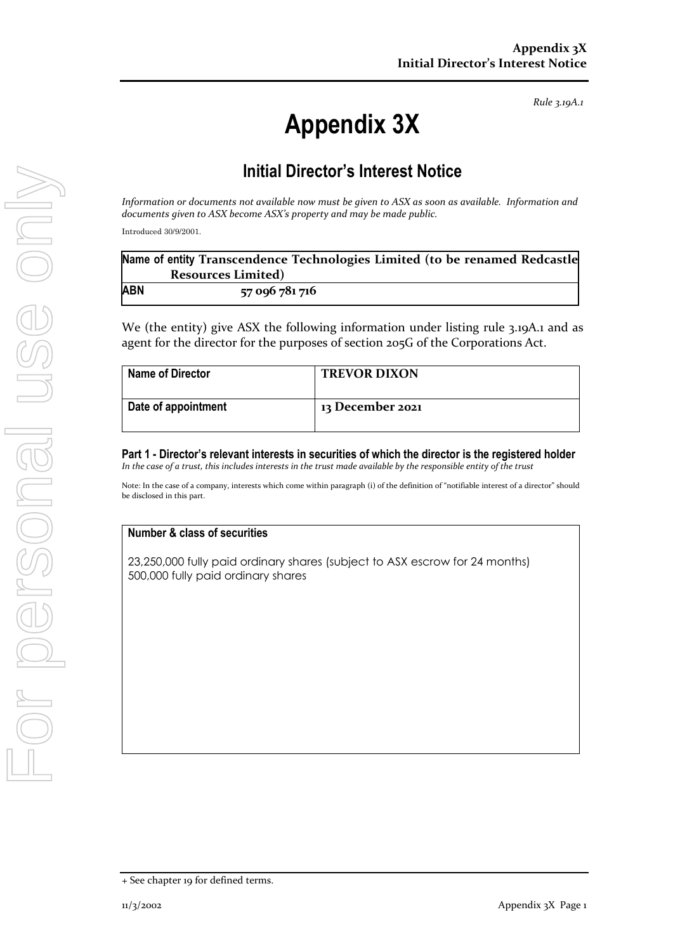*Rule 3.19A.1*

# **Appendix 3X**

# **Initial Director's Interest Notice**

*Information or documents not available now must be given to ASX as soon as available. Information and documents given to ASX become ASX's property and may be made public.*

Introduced 30/9/2001.

|            | Name of entity Transcendence Technologies Limited (to be renamed Redcastle |
|------------|----------------------------------------------------------------------------|
|            | <b>Resources Limited)</b>                                                  |
| <b>ABN</b> | 57 096 781 716                                                             |

We (the entity) give ASX the following information under listing rule 3.19A.1 and as agent for the director for the purposes of section 205G of the Corporations Act.

| <b>Name of Director</b> | <b>TREVOR DIXON</b> |
|-------------------------|---------------------|
| Date of appointment     | 13 December 2021    |

**Part 1 - Director's relevant interests in securities of which the director is the registered holder** *In the case of a trust, this includes interests in the trust made available by the responsible entity of the trust*

Note: In the case of a company, interests which come within paragraph (i) of the definition of "notifiable interest of a director" should be disclosed in this part.

## **Number & class of securities**

23,250,000 fully paid ordinary shares (subject to ASX escrow for 24 months) 500,000 fully paid ordinary shares

<sup>+</sup> See chapter 19 for defined terms.